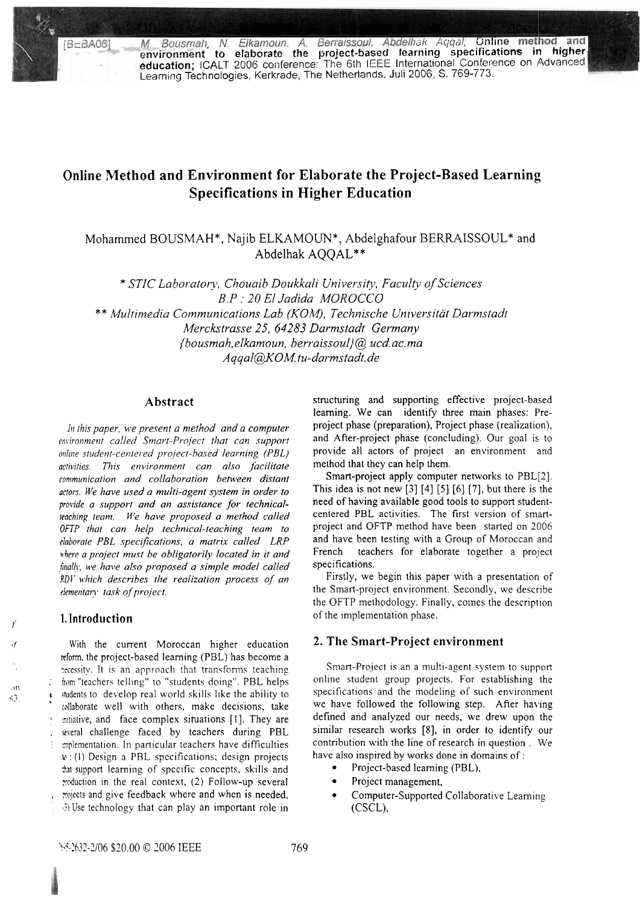M. Bousmah, N. Elkamoun. A. Berraissoul, Abdelhak Aggal; Online method and environment to elaborate the project-based fearning specifications in higher education; ICALT 2006 conference: The 6th IEEE International Conferenc Learning Technologies, Kerkrade, The Netherlands, Juli 2006, S. 769-773.

# Online Method and Environment for Elaborate the Project-Based Learning **Specifications in Higher Education**

Mohammed BOUSMAH\*, Najib ELKAMOUN\*, Abdelghafour BERRAISSOUL\* and Abdelhak AQOAL\*\*

\* STIC Laboratory, Chouaib Doukkali University, Faculty of Sciences B.P : 20 El Jadida MOROCCO \*\* Multimedia Communications Lab (KOM), Technische Universität Darmstadt Merckstrasse 25, 64283 Darmstadt Germany {bousmah,elkamoun, berraissoul}@, ucd.ac.ma Aqqal@KOM.tu-darmstadt.de

# Abstract

In this paper, we present a method and a computer environment called Smart-Project that can support online student-centered project-based learning (PBL) activities. This environment can also facilitate communication and collaboration between distant actors. We have used a multi-agent system in order to provide a support and an assistance for technicalteaching team. We have proposed a method called OFTP that can help technical-teaching team to elaborate PBL specifications, a matrix called LRP where a project must be obligatorily located in it and finally, we have also proposed a simple model called RDV which describes the realization process of an elementary task of project.

#### 1. Introduction

 $\overline{M}$ 

 $\langle 3 \rangle$ 

With the current Moroccan higher education reform, the project-based learning (PBL) has become a recessity. It is an approach that transforms teaching from "teachers telling" to "students doing". PBL helps students to develop real world skills like the ability to collaborate well with others, make decisions, take miliative, and face complex situations [1]. They are weral challenge faced by teachers during PBL mplementation. In particular teachers have difficulties w: (1) Design a PBL specifications; design projects that support learning of specific concepts, skills and moduction in the real context, (2) Follow-up several rojects and give feedback where and when is needed, a) Use technology that can play an important role in structuring and supporting effective project-based learning. We can identify three main phases: Preproject phase (preparation), Project phase (realization), and After-project phase (concluding). Our goal is to provide all actors of project an environment and method that they can help them.

Smart-project apply computer networks to PBL[2]. This idea is not new  $[3] [4] [5] [6] [7]$ , but there is the need of having available good tools to support studentcentered PBL activities. The first version of smartproject and OFTP method have been started on 2006 and have been testing with a Group of Moroccan and teachers for elaborate together a project French specifications.

Firstly, we begin this paper with a presentation of the Smart-project environment. Secondly, we describe the OFTP methodology. Finally, comes the description of the implementation phase.

### 2. The Smart-Project environment

Smart-Project is an a multi-agent system to support online student group projects. For establishing the specifications and the modeling of such environment we have followed the following step. After having defined and analyzed our needs, we drew upon the similar research works [8], in order to identify our contribution with the line of research in question. We have also inspired by works done in domains of:

- Project-based learning (PBL).
- Project management,
- Computer-Supported Collaborative Learning (CSCL).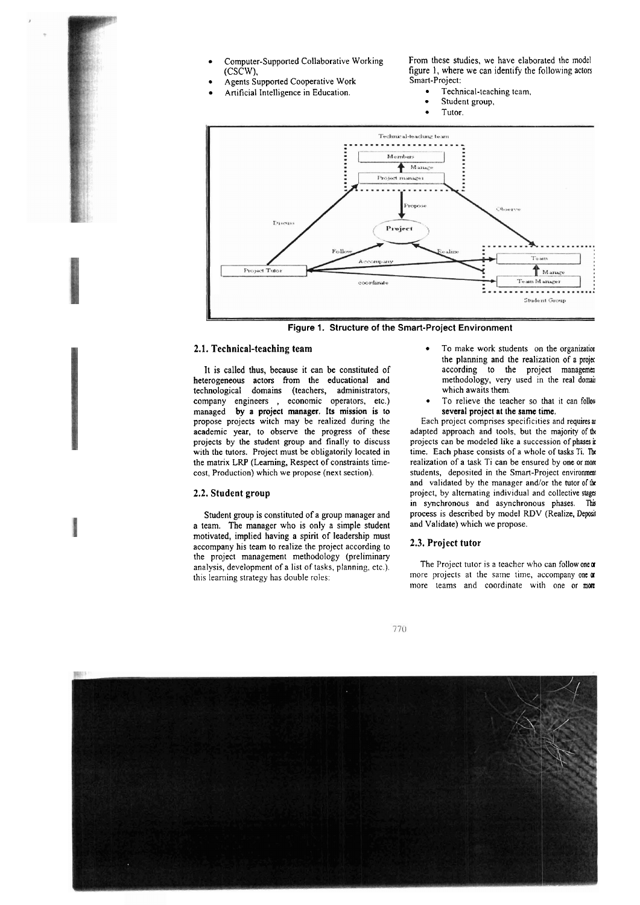- 
- Agents Supported Cooperative Work Smart-Project:
- Artificial Intelligence in Education.

Computer-Supported Collaborative Working From these studies, we have elaborated the model (CSCW), figure 1, where we can identify the following actors figure 1, where we can identify the following actors<br>Smart-Project:

- 
- Student group,
- Tutor.



**Figure 1. Structure of the Smart-Project Environment** 

It is called thus, because it can be constituted of according to the project management terogeneous actors from the educational and methodology, very used in the real domain heterogeneous actors from the educational and methodology, very technological domains (teachers, administrators, which awaits them. technological domains (teachers, administrators, which awaits them.<br>
company engineers, economic operators, etc.) • To relieve the teacher so that it can follow company engineers , economic operators, etc.) • To relieve the teacher so that managed by a project manager. Its mission is to several project at the same time. managed by a project manager. Its mission is to propose projects witch may be realized during the academic year, to observe the progress of these projecis by the student group and finally to discuss with the tutors. Project must be obligatorily located in the matrix LRP (Learning, Respect of constraints timecost, Production) which we propose (next section).

#### **2.2. Student group**

Student group is constituted of a group manager and a team. The manager who is only a simple student motivated, implied having a spirit of leadership must accompany his team to realize the project according to **2.3. Project tutor** the project management methodology (preliminary analysis, development of a list of tasks, planning, etc.). The Project tutor is a teacher who can follow one or this learning strategy has double roles: more projects at the same time, accompany one or

- **2.1. Technical-teaching team 12.1. Technical-teaching team 12.1. Technical-teaching team** the planning and the realization of a project according to the project management
	-

Each project comprises specificities and requires at adapted approach and tools, but the majority of the projects can be modeled like a succession of phases in time. Each phase consists of a whole of tasks Ti. Th realization of a task Ti can be ensured by one or more students, deposited in the Smart-Project environment and validated by the manager and/or the tutor of the project, by alternating individual and collective **siagä**  in synchronous and asynchronous phases. This process is described by model RDV (Realize, Deposit and Validate) which we propose.

more projects at the same time, accompany one  $\alpha$ more teams and coordinate with one or more



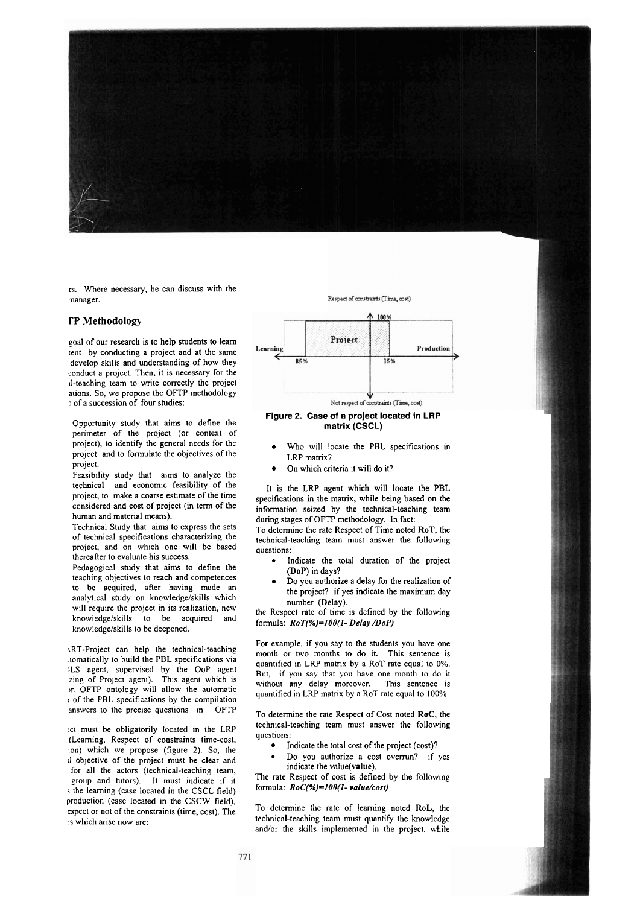

rs. Where necessary, he can discuss with the manager.

#### **TP Methodology**

goal of our research is to help students to leam tent by conducting a project and at the same develop skills and understanding of how they conduct a project. Then, it is necessary for the 11-teaching team to write correctly the project ations. So, we propose the OFTP methodology of a succession of four studies:

Opportunity study that aims to define the perimeter of the project (or context of project), to identify the general needs for the project and to formulate the objectives of the project.

Feasibility study that aims to analyze the technical and economic feasibility of the project, to make a coarse estimate of the time considered and cost of project (in term of the human and material means).

Technical Study that aims to express the sets of technical specifications characterizing the project, and on which one will be based thereafter to evaluate his success.

Pedagogical study that aims to define the teaching objectives to reach and competences to be acquired, after having made an analytical study on knowledge/skills which will require the project in its realization, new knowledge/skills to be acquired and knowledge/skills to be deepened.

d7T-Project can help the technical-teaching .tomatically to build the PBL specifications via :LS agent, supervised by the OoP ageni zing of Project agent). This agent which is In OFTP ontology will allow the automatic i of the PBL specifications by the compilation answers to the precise questions in OFTP

:ct must be obligatorily located in the LW (Leaming, Respect of constraints time-cost, ion) which we propose (figure **2).** So, the **<sup>11</sup>**objective of the project must be clear and for all the actors (technical-teaching team, group and tutors). It must indicate if it s the learning (case located in the CSCL field) production (case located in the CSCW field), espect or not of the constraints (time, cost). The 1s which arise now are:

Respect of constraints (Time, cost)



#### Figure 2. Case of a project located **in LRP**  matrix (CSCL)

- Who will locate the PBL specifications in LRP matrix?
- On which criteria it will do it?

It is the LRP agent which will locate the PBL specifications in the matrix, while being based on the information seized by the technical-teaching team during stages of OFTP methodology. In fact:

To determine the rate Respect of Time noted ROT, the technical-teaching team must answer the following questions:

- Indicate the total duration of the project (DoP) in days?
- Do you authorize a delay for the realization of the project? if yes indicate the maximum day number (Delay).

the Respect rate of time is defined by the following formula: *RoT(%)=IOO(I- Delay DoP)* 

For example, if you say to the students you have one month or WO months to do it. This sentence is quantified in LRP matrix by a ROT rate equal to 0%. But, if you say that you have one month to do it without any delay moreover. This sentence is without any delay moreover. quantified in LRP matrix by a ROT rate equal to 100%.

To determine the rate Respect of Cost noted RoC, the technical-teaching team must answer the following questions:

- lndicate the total cost of the project (cost)?
- Do you authorize a cost overmn? if yes indicate the value(value).

The rate Respect of cost is defined by the following formula: *RoC(%)=lOO(l- volue/cosr)* 

To determine the rate of leaming noted RoL, the technical-teaching team must quantify the knowledge and/or the skills implemented in the project, while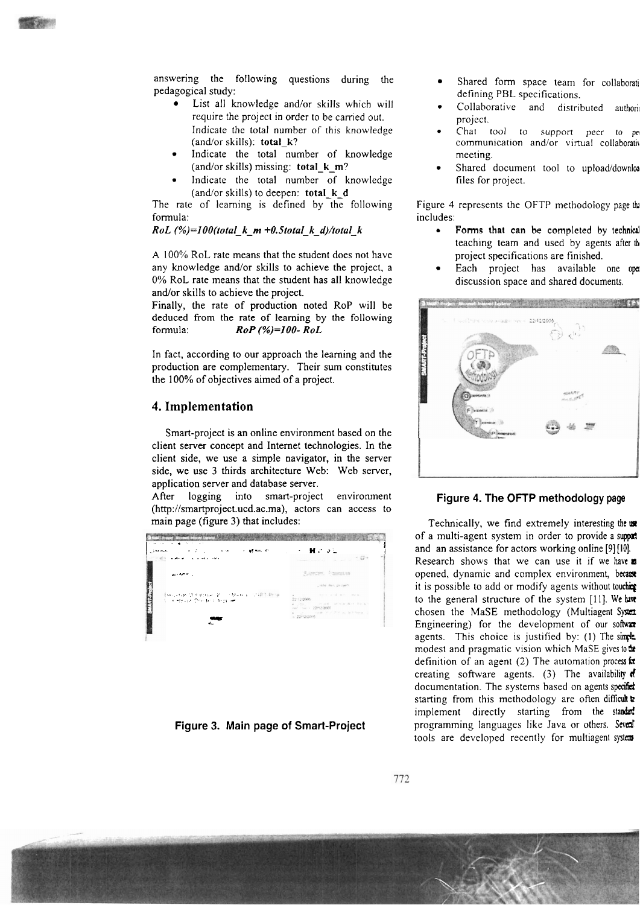

answering the following questions during the pedagogical study:

- List all knowledge and/or skills which will require the project in order to be carried out. lndicate the total number of this knowledge (and/or skills): total-k?
- Indicate the total number of knowledge (and/or skills) missing: total\_k\_m?
- Indicate the total number of knowledge (and/or skills) to deepen: total-k-d

The rate of learning is defined by the following formula:

 $RoL$  (%)=100(total\_k\_m +0.5total\_k\_d)/total\_k

A 100% RoL rate means that the student does not have any knowledge and/or skills to achieve the project, a 0% RoL rate means that the student has all knowledge and/or skills to achieve the project.

Finally, the rate of production noted RoP will be deduced from the rate of leaming by the following formula:  $RoP$  (%)=100-RoL

In fact, according to our approach the leaming and the production are complementary. Their sum constitutes the 100% of objectives aimed of a project.

### 4. **Implementation**

Smart-project is an online environment based on the client server concept and Internet technologies. In the client side, we use a simple navigator, in the server side, we use **3** thirds architecture Web: Web server, application server and database server.

After logging into smart-project environment (http://smartproject.ucd.ac.ma), actors can access to main Page (figure **3)** that includes:



**Figure 3. Main Page of Smart-Project** 

- Shared form space team for collaborati defining PBL specifications.
- Collaborative and distributed authori project.
- Chat tool to support peer to pe communication and/or virtual collaborativ meeting.
- Shared document tool to upload/downloa files for project.

Figure 4 represents the OFTP methodology page thi includes:

- Forms that can be completed by technical teaching team and used by agents after **th**  project specifications are finished.
- Each project has available one **opa**  discussion space and shared documents.



### Figure 4. The OFTP methodology page

Technically, we find extremely interesting **ihe mt**  of a multi-agent system in order to provide a support and an assistance for actors working online [9] [IO]. Research shows that we can use it if we have **a** opened, dynamic and complex environment, because it is possible to add or modify agents without toucher to the general structure of the system [11]. We have chosen the MaSE methodology (Multiagent System Engineering) for the development of our software agents. This choice is justified by:  $(1)$  The simple modest and pragmatic vision which MaSE gives to **he** definition of an agent (2) The automation process for creating software agents. (3) The availability  $\mathbf{d}$ documentation. The systems based on agents specifict starting from this methodology are often difiicuh *8*  implement directly starting from the standerd programming languages like Java or others. Sevent tools are developed recently for multiagent system